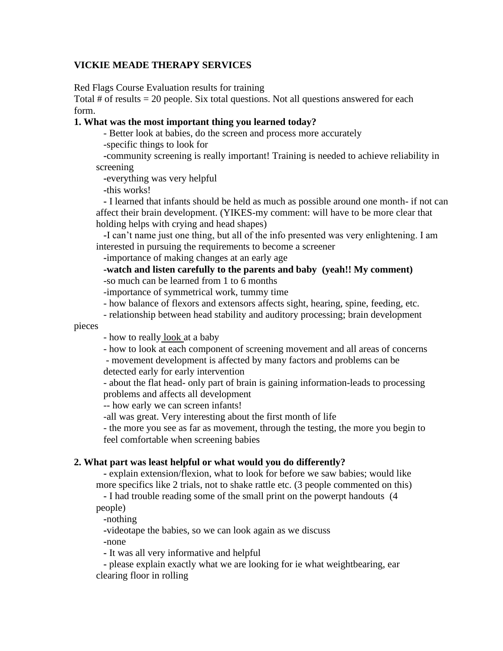## **VICKIE MEADE THERAPY SERVICES**

Red Flags Course Evaluation results for training

Total  $#$  of results  $= 20$  people. Six total questions. Not all questions answered for each form.

## **1. What was the most important thing you learned today?**

- Better look at babies, do the screen and process more accurately

-specific things to look for

**-**community screening is really important! Training is needed to achieve reliability in screening

**-**everything was very helpful

**-**this works!

**-** I learned that infants should be held as much as possible around one month- if not can affect their brain development. (YIKES-my comment: will have to be more clear that holding helps with crying and head shapes)

**-**I can't name just one thing, but all of the info presented was very enlightening. I am interested in pursuing the requirements to become a screener

**-**importance of making changes at an early age

**-watch and listen carefully to the parents and baby (yeah!! My comment)**

-so much can be learned from 1 to 6 months

-importance of symmetrical work, tummy time

- how balance of flexors and extensors affects sight, hearing, spine, feeding, etc.

- relationship between head stability and auditory processing; brain development

pieces

- how to really look at a baby

- how to look at each component of screening movement and all areas of concerns

- movement development is affected by many factors and problems can be detected early for early intervention

- about the flat head- only part of brain is gaining information-leads to processing problems and affects all development

-- how early we can screen infants!

-all was great. Very interesting about the first month of life

- the more you see as far as movement, through the testing, the more you begin to feel comfortable when screening babies

### **2. What part was least helpful or what would you do differently?**

**-** explain extension/flexion, what to look for before we saw babies; would like more specifics like 2 trials, not to shake rattle etc. (3 people commented on this)

**-** I had trouble reading some of the small print on the powerpt handouts (4

people)

**-**nothing

**-**videotape the babies, so we can look again as we discuss

**-**none

**-** It was all very informative and helpful

**-** please explain exactly what we are looking for ie what weightbearing, ear clearing floor in rolling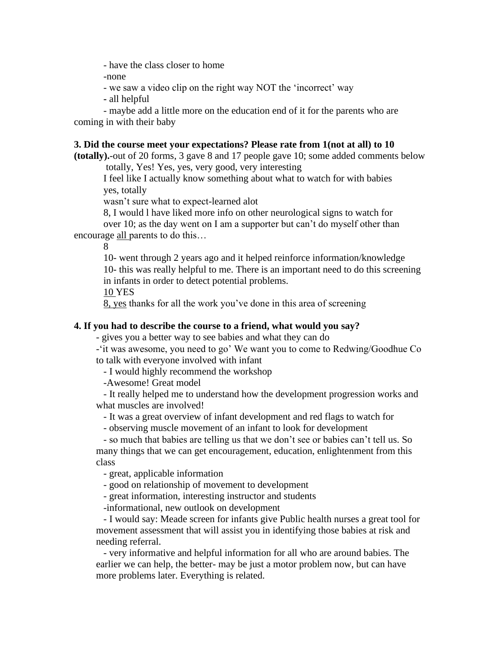- have the class closer to home

-none

- we saw a video clip on the right way NOT the 'incorrect' way

**-** all helpful

- maybe add a little more on the education end of it for the parents who are coming in with their baby

### **3. Did the course meet your expectations? Please rate from 1(not at all) to 10**

**(totally).**-out of 20 forms, 3 gave 8 and 17 people gave 10; some added comments below totally, Yes! Yes, yes, very good, very interesting

I feel like I actually know something about what to watch for with babies yes, totally

wasn't sure what to expect-learned alot

8, I would l have liked more info on other neurological signs to watch for

over 10; as the day went on I am a supporter but can't do myself other than encourage all parents to do this…

8

10- went through 2 years ago and it helped reinforce information/knowledge 10- this was really helpful to me. There is an important need to do this screening in infants in order to detect potential problems.

10 YES

8, yes thanks for all the work you've done in this area of screening

# **4. If you had to describe the course to a friend, what would you say?**

- gives you a better way to see babies and what they can do

-'it was awesome, you need to go' We want you to come to Redwing/Goodhue Co to talk with everyone involved with infant

- I would highly recommend the workshop

-Awesome! Great model

- It really helped me to understand how the development progression works and what muscles are involved!

- It was a great overview of infant development and red flags to watch for

- observing muscle movement of an infant to look for development

- so much that babies are telling us that we don't see or babies can't tell us. So many things that we can get encouragement, education, enlightenment from this class

- great, applicable information

- good on relationship of movement to development

- great information, interesting instructor and students

-informational, new outlook on development

- I would say: Meade screen for infants give Public health nurses a great tool for movement assessment that will assist you in identifying those babies at risk and needing referral.

- very informative and helpful information for all who are around babies. The earlier we can help, the better- may be just a motor problem now, but can have more problems later. Everything is related.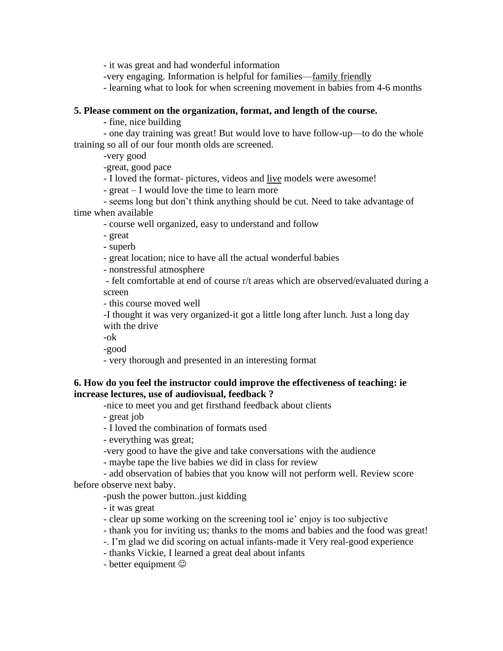- it was great and had wonderful information

-very engaging. Information is helpful for families—family friendly

- learning what to look for when screening movement in babies from 4-6 months

## **5. Please comment on the organization, format, and length of the course.**

**-** fine, nice building

**-** one day training was great! But would love to have follow-up—to do the whole training so all of our four month olds are screened.

-very good

-great, good pace

- I loved the format- pictures, videos and live models were awesome!

- great – I would love the time to learn more

- seems long but don't think anything should be cut. Need to take advantage of time when available

- course well organized, easy to understand and follow

- great

**-** superb

- great location; nice to have all the actual wonderful babies

- nonstressful atmosphere

- felt comfortable at end of course r/t areas which are observed/evaluated during a screen

- this course moved well

-I thought it was very organized-it got a little long after lunch. Just a long day with the drive

-ok

-good

- very thorough and presented in an interesting format

# **6. How do you feel the instructor could improve the effectiveness of teaching: ie increase lectures, use of audiovisual, feedback ?**

-nice to meet you and get firsthand feedback about clients

- great job

- I loved the combination of formats used

- everything was great;

-very good to have the give and take conversations with the audience

- maybe tape the live babies we did in class for review

- add observation of babies that you know will not perform well. Review score before observe next baby.

-push the power button..just kidding

- it was great

- clear up some working on the screening tool ie' enjoy is too subjective

- thank you for inviting us; thanks to the moms and babies and the food was great!

-. I'm glad we did scoring on actual infants-made it Very real-good experience

- thanks Vickie, I learned a great deal about infants

- better equipment  $\odot$